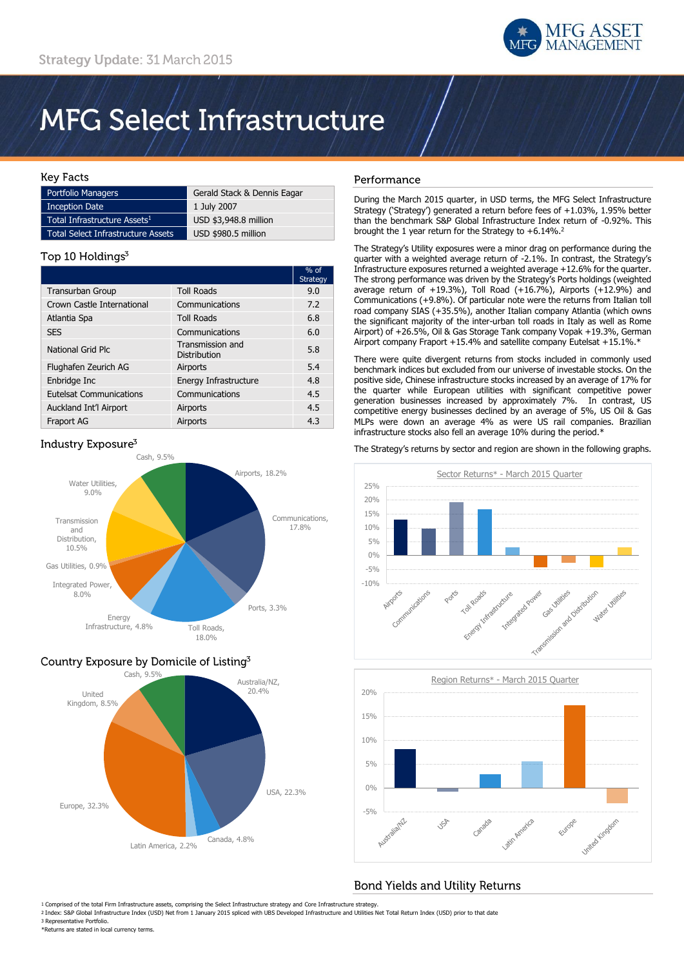

# **MFG Select Infrastructure**

#### **Kev Facts**

| Portfolio Managers                        | Gerald Stack & Dennis Eagar |
|-------------------------------------------|-----------------------------|
| <b>Inception Date</b>                     | 1 July 2007                 |
| Total Infrastructure Assets <sup>1</sup>  | USD \$3,948.8 million       |
| <b>Total Select Infrastructure Assets</b> | USD \$980.5 million         |

#### Top 10 Holdings<sup>3</sup>

|                                |                                         | $%$ of<br>Strategy |
|--------------------------------|-----------------------------------------|--------------------|
| <b>Transurban Group</b>        | <b>Toll Roads</b>                       | 9.0                |
| Crown Castle International     | Communications                          | 7.2                |
| Atlantia Spa                   | <b>Toll Roads</b>                       | 6.8                |
| <b>SES</b>                     | Communications                          | 6.0                |
| National Grid Plc              | Transmission and<br><b>Distribution</b> | 5.8                |
| Flughafen Zeurich AG           | Airports                                | 5.4                |
| Enbridge Inc                   | Energy Infrastructure                   | 4.8                |
| <b>Eutelsat Communications</b> | Communications                          | 4.5                |
| Auckland Int'l Airport         | Airports                                | 4.5                |
| Fraport AG                     | Airports                                | 4.3                |

### Industry Exposure<sup>3</sup>



## Country Exposure by Domicile of Listing<sup>3</sup>



### Performance

During the March 2015 quarter, in USD terms, the MFG Select Infrastructure Strategy ('Strategy') generated a return before fees of +1.03%, 1.95% better than the benchmark S&P Global Infrastructure Index return of -0.92%. This brought the 1 year return for the Strategy to +6.14%.<sup>2</sup>

The Strategy's Utility exposures were a minor drag on performance during the quarter with a weighted average return of -2.1%. In contrast, the Strategy's Infrastructure exposures returned a weighted average +12.6% for the quarter. The strong performance was driven by the Strategy's Ports holdings (weighted average return of  $+19.3\%$ ), Toll Road  $(+16.7\%)$ , Airports  $(+12.9\%)$  and Communications (+9.8%). Of particular note were the returns from Italian toll road company SIAS (+35.5%), another Italian company Atlantia (which owns the significant majority of the inter-urban toll roads in Italy as well as Rome Airport) of +26.5%, Oil & Gas Storage Tank company Vopak +19.3%, German Airport company Fraport +15.4% and satellite company Eutelsat +15.1%.\*

There were quite divergent returns from stocks included in commonly used benchmark indices but excluded from our universe of investable stocks. On the positive side, Chinese infrastructure stocks increased by an average of 17% for the quarter while European utilities with significant competitive power generation businesses increased by approximately 7%. In contrast, US competitive energy businesses declined by an average of 5%, US Oil & Gas MLPs were down an average 4% as were US rail companies. Brazilian infrastructure stocks also fell an average 10% during the period.\*

The Strategy's returns by sector and region are shown in the following graphs.





# **Bond Yields and Utility Returns**

1 Comprised of the total Firm Infrastructure assets, comprising the Select Infrastructure strategy and Core Infrastructure strategy.

2 Index: S&P Global Infrastructure Index (USD) Net from 1 January 2015 spliced with UBS Developed Infrastructure and Utilities Net Total Return Index (USD) prior to that date 3 Representative Portfolio.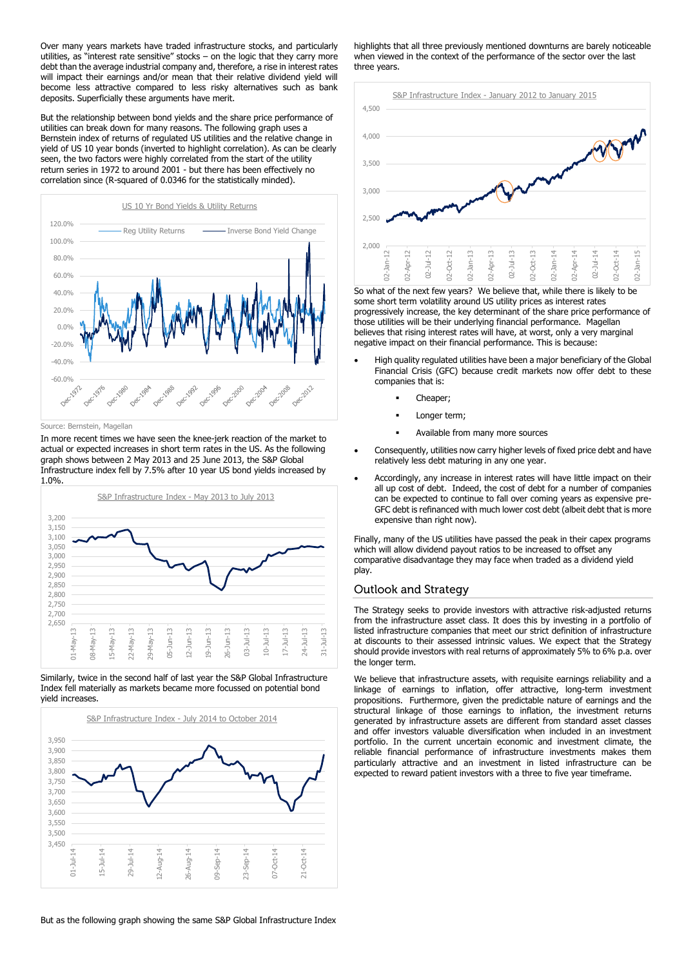Over many years markets have traded infrastructure stocks, and particularly utilities, as "interest rate sensitive" stocks – on the logic that they carry more debt than the average industrial company and, therefore, a rise in interest rates will impact their earnings and/or mean that their relative dividend yield will become less attractive compared to less risky alternatives such as bank deposits. Superficially these arguments have merit.

But the relationship between bond yields and the share price performance of utilities can break down for many reasons. The following graph uses a Bernstein index of returns of regulated US utilities and the relative change in yield of US 10 year bonds (inverted to highlight correlation). As can be clearly seen, the two factors were highly correlated from the start of the utility return series in 1972 to around 2001 - but there has been effectively no correlation since (R-squared of 0.0346 for the statistically minded).



Source: Bernstein, Magellan

In more recent times we have seen the knee-jerk reaction of the market to actual or expected increases in short term rates in the US. As the following graph shows between 2 May 2013 and 25 June 2013, the S&P Global Infrastructure index fell by 7.5% after 10 year US bond yields increased by 1.0%.







highlights that all three previously mentioned downturns are barely noticeable when viewed in the context of the performance of the sector over the last three years.



So what of the next few years? We believe that, while there is likely to be some short term volatility around US utility prices as interest rates progressively increase, the key determinant of the share price performance of those utilities will be their underlying financial performance. Magellan believes that rising interest rates will have, at worst, only a very marginal negative impact on their financial performance. This is because:

- High quality regulated utilities have been a major beneficiary of the Global Financial Crisis (GFC) because credit markets now offer debt to these companies that is:
	- Cheaper:
	- Longer term;
	- Available from many more sources
- Consequently, utilities now carry higher levels of fixed price debt and have relatively less debt maturing in any one year.
- Accordingly, any increase in interest rates will have little impact on their all up cost of debt. Indeed, the cost of debt for a number of companies can be expected to continue to fall over coming years as expensive pre-GFC debt is refinanced with much lower cost debt (albeit debt that is more expensive than right now).

Finally, many of the US utilities have passed the peak in their capex programs which will allow dividend payout ratios to be increased to offset any comparative disadvantage they may face when traded as a dividend yield play.

#### **Outlook and Strategy**

The Strategy seeks to provide investors with attractive risk-adjusted returns from the infrastructure asset class. It does this by investing in a portfolio of listed infrastructure companies that meet our strict definition of infrastructure at discounts to their assessed intrinsic values. We expect that the Strategy should provide investors with real returns of approximately 5% to 6% p.a. over the longer term.

We believe that infrastructure assets, with requisite earnings reliability and a linkage of earnings to inflation, offer attractive, long-term investment propositions. Furthermore, given the predictable nature of earnings and the structural linkage of those earnings to inflation, the investment returns generated by infrastructure assets are different from standard asset classes and offer investors valuable diversification when included in an investment portfolio. In the current uncertain economic and investment climate, the reliable financial performance of infrastructure investments makes them particularly attractive and an investment in listed infrastructure can be expected to reward patient investors with a three to five year timeframe.